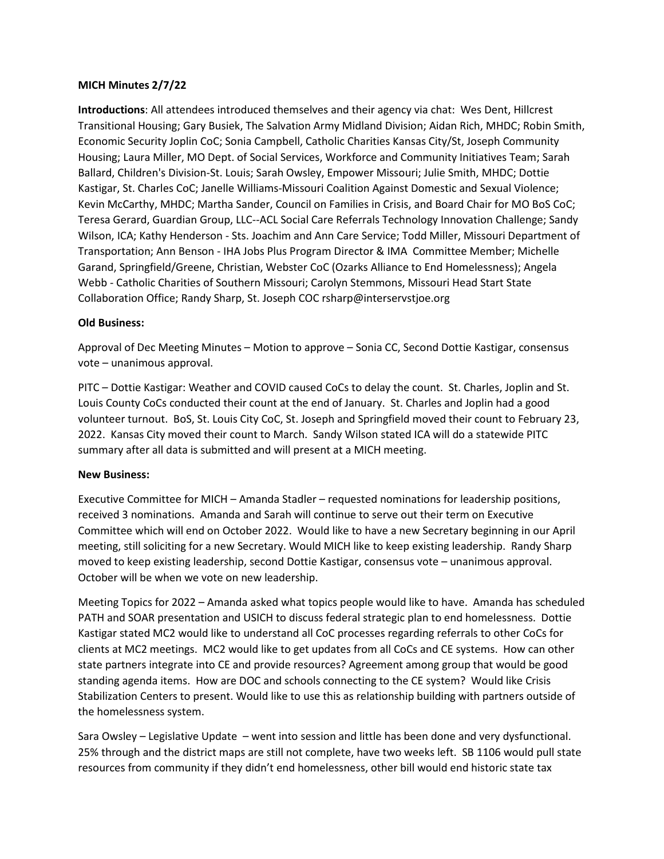### **MICH Minutes 2/7/22**

**Introductions**: All attendees introduced themselves and their agency via chat: Wes Dent, Hillcrest Transitional Housing; Gary Busiek, The Salvation Army Midland Division; Aidan Rich, MHDC; Robin Smith, Economic Security Joplin CoC; Sonia Campbell, Catholic Charities Kansas City/St, Joseph Community Housing; Laura Miller, MO Dept. of Social Services, Workforce and Community Initiatives Team; Sarah Ballard, Children's Division-St. Louis; Sarah Owsley, Empower Missouri; Julie Smith, MHDC; Dottie Kastigar, St. Charles CoC; Janelle Williams-Missouri Coalition Against Domestic and Sexual Violence; Kevin McCarthy, MHDC; Martha Sander, Council on Families in Crisis, and Board Chair for MO BoS CoC; Teresa Gerard, Guardian Group, LLC--ACL Social Care Referrals Technology Innovation Challenge; Sandy Wilson, ICA; Kathy Henderson - Sts. Joachim and Ann Care Service; Todd Miller, Missouri Department of Transportation; Ann Benson - IHA Jobs Plus Program Director & IMA Committee Member; Michelle Garand, Springfield/Greene, Christian, Webster CoC (Ozarks Alliance to End Homelessness); Angela Webb - Catholic Charities of Southern Missouri; Carolyn Stemmons, Missouri Head Start State Collaboration Office; Randy Sharp, St. Joseph COC rsharp@interservstjoe.org

## **Old Business:**

Approval of Dec Meeting Minutes – Motion to approve – Sonia CC, Second Dottie Kastigar, consensus vote – unanimous approval.

PITC – Dottie Kastigar: Weather and COVID caused CoCs to delay the count. St. Charles, Joplin and St. Louis County CoCs conducted their count at the end of January. St. Charles and Joplin had a good volunteer turnout. BoS, St. Louis City CoC, St. Joseph and Springfield moved their count to February 23, 2022. Kansas City moved their count to March. Sandy Wilson stated ICA will do a statewide PITC summary after all data is submitted and will present at a MICH meeting.

### **New Business:**

Executive Committee for MICH – Amanda Stadler – requested nominations for leadership positions, received 3 nominations. Amanda and Sarah will continue to serve out their term on Executive Committee which will end on October 2022. Would like to have a new Secretary beginning in our April meeting, still soliciting for a new Secretary. Would MICH like to keep existing leadership. Randy Sharp moved to keep existing leadership, second Dottie Kastigar, consensus vote – unanimous approval. October will be when we vote on new leadership.

Meeting Topics for 2022 – Amanda asked what topics people would like to have. Amanda has scheduled PATH and SOAR presentation and USICH to discuss federal strategic plan to end homelessness. Dottie Kastigar stated MC2 would like to understand all CoC processes regarding referrals to other CoCs for clients at MC2 meetings. MC2 would like to get updates from all CoCs and CE systems. How can other state partners integrate into CE and provide resources? Agreement among group that would be good standing agenda items. How are DOC and schools connecting to the CE system? Would like Crisis Stabilization Centers to present. Would like to use this as relationship building with partners outside of the homelessness system.

Sara Owsley – Legislative Update – went into session and little has been done and very dysfunctional. 25% through and the district maps are still not complete, have two weeks left. SB 1106 would pull state resources from community if they didn't end homelessness, other bill would end historic state tax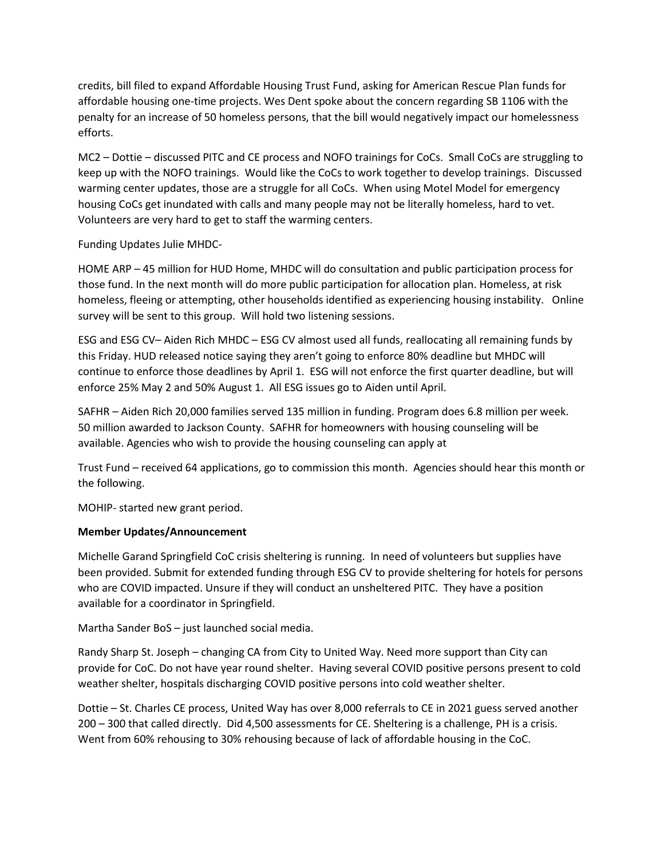credits, bill filed to expand Affordable Housing Trust Fund, asking for American Rescue Plan funds for affordable housing one-time projects. Wes Dent spoke about the concern regarding SB 1106 with the penalty for an increase of 50 homeless persons, that the bill would negatively impact our homelessness efforts.

MC2 – Dottie – discussed PITC and CE process and NOFO trainings for CoCs. Small CoCs are struggling to keep up with the NOFO trainings. Would like the CoCs to work together to develop trainings. Discussed warming center updates, those are a struggle for all CoCs. When using Motel Model for emergency housing CoCs get inundated with calls and many people may not be literally homeless, hard to vet. Volunteers are very hard to get to staff the warming centers.

Funding Updates Julie MHDC-

HOME ARP – 45 million for HUD Home, MHDC will do consultation and public participation process for those fund. In the next month will do more public participation for allocation plan. Homeless, at risk homeless, fleeing or attempting, other households identified as experiencing housing instability. Online survey will be sent to this group. Will hold two listening sessions.

ESG and ESG CV– Aiden Rich MHDC – ESG CV almost used all funds, reallocating all remaining funds by this Friday. HUD released notice saying they aren't going to enforce 80% deadline but MHDC will continue to enforce those deadlines by April 1. ESG will not enforce the first quarter deadline, but will enforce 25% May 2 and 50% August 1. All ESG issues go to Aiden until April.

SAFHR – Aiden Rich 20,000 families served 135 million in funding. Program does 6.8 million per week. 50 million awarded to Jackson County. SAFHR for homeowners with housing counseling will be available. Agencies who wish to provide the housing counseling can apply at

Trust Fund – received 64 applications, go to commission this month. Agencies should hear this month or the following.

MOHIP- started new grant period.

# **Member Updates/Announcement**

Michelle Garand Springfield CoC crisis sheltering is running. In need of volunteers but supplies have been provided. Submit for extended funding through ESG CV to provide sheltering for hotels for persons who are COVID impacted. Unsure if they will conduct an unsheltered PITC. They have a position available for a coordinator in Springfield.

Martha Sander BoS – just launched social media.

Randy Sharp St. Joseph – changing CA from City to United Way. Need more support than City can provide for CoC. Do not have year round shelter. Having several COVID positive persons present to cold weather shelter, hospitals discharging COVID positive persons into cold weather shelter.

Dottie – St. Charles CE process, United Way has over 8,000 referrals to CE in 2021 guess served another 200 – 300 that called directly. Did 4,500 assessments for CE. Sheltering is a challenge, PH is a crisis. Went from 60% rehousing to 30% rehousing because of lack of affordable housing in the CoC.